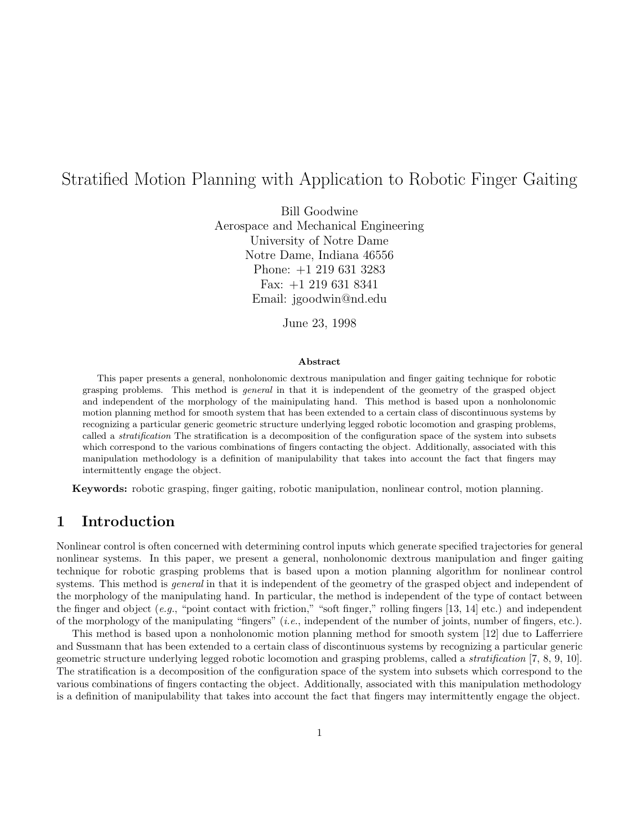# Stratified Motion Planning with Application to Robotic Finger Gaiting

Bill Goodwine Aerospace and Mechanical Engineering University of Notre Dame Notre Dame, Indiana 46556 Phone: +1 219 631 3283 Fax: +1 219 631 8341 Email: jgoodwin@nd.edu

June 23, 1998

#### **Abstract**

This paper presents a general, nonholonomic dextrous manipulation and finger gaiting technique for robotic grasping problems. This method is general in that it is independent of the geometry of the grasped object and independent of the morphology of the mainipulating hand. This method is based upon a nonholonomic motion planning method for smooth system that has been extended to a certain class of discontinuous systems by recognizing a particular generic geometric structure underlying legged robotic locomotion and grasping problems, called a *stratification* The stratification is a decomposition of the configuration space of the system into subsets which correspond to the various combinations of fingers contacting the object. Additionally, associated with this manipulation methodology is a definition of manipulability that takes into account the fact that fingers may intermittently engage the object.

**Keywords:** robotic grasping, finger gaiting, robotic manipulation, nonlinear control, motion planning.

### **1 Introduction**

Nonlinear control is often concerned with determining control inputs which generate specified trajectories for general nonlinear systems. In this paper, we present a general, nonholonomic dextrous manipulation and finger gaiting technique for robotic grasping problems that is based upon a motion planning algorithm for nonlinear control systems. This method is *general* in that it is independent of the geometry of the grasped object and independent of the morphology of the manipulating hand. In particular, the method is independent of the type of contact between the finger and object  $(e.g.,$  "point contact with friction," "soft finger," rolling fingers  $[13, 14]$  etc.) and independent of the morphology of the manipulating "fingers" (i.e., independent of the number of joints, number of fingers, etc.).

This method is based upon a nonholonomic motion planning method for smooth system [12] due to Lafferriere and Sussmann that has been extended to a certain class of discontinuous systems by recognizing a particular generic geometric structure underlying legged robotic locomotion and grasping problems, called a stratification [7, 8, 9, 10]. The stratification is a decomposition of the configuration space of the system into subsets which correspond to the various combinations of fingers contacting the object. Additionally, associated with this manipulation methodology is a definition of manipulability that takes into account the fact that fingers may intermittently engage the object.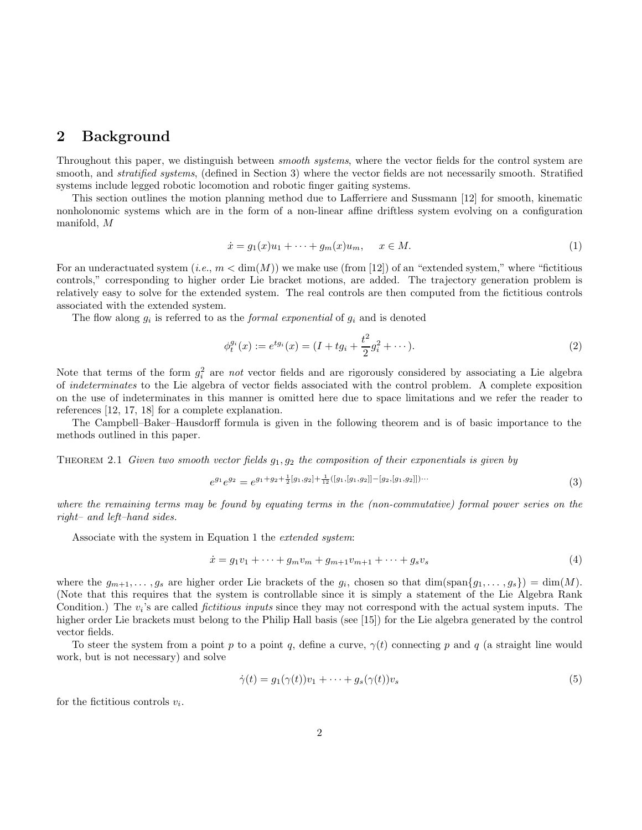### **2 Background**

Throughout this paper, we distinguish between smooth systems, where the vector fields for the control system are smooth, and *stratified systems*, (defined in Section 3) where the vector fields are not necessarily smooth. Stratified systems include legged robotic locomotion and robotic finger gaiting systems.

This section outlines the motion planning method due to Lafferriere and Sussmann [12] for smooth, kinematic nonholonomic systems which are in the form of a non-linear affine driftless system evolving on a configuration manifold, M

$$
\dot{x} = g_1(x)u_1 + \dots + g_m(x)u_m, \quad x \in M.
$$
\n(1)

For an underactuated system  $(i.e., m < dim(M))$  we make use (from [12]) of an "extended system," where "fictitious controls," corresponding to higher order Lie bracket motions, are added. The trajectory generation problem is relatively easy to solve for the extended system. The real controls are then computed from the fictitious controls associated with the extended system.

The flow along  $g_i$  is referred to as the *formal exponential* of  $g_i$  and is denoted

$$
\phi_t^{g_i}(x) := e^{t g_i}(x) = (I + t g_i + \frac{t^2}{2} g_i^2 + \cdots).
$$
\n(2)

Note that terms of the form  $g_i^2$  are not vector fields and are rigorously considered by associating a Lie algebra of indeterminates to the Lie algebra of vector fields associated with the control problem. A complete exposition on the use of indeterminates in this manner is omitted here due to space limitations and we refer the reader to references [12, 17, 18] for a complete explanation.

The Campbell–Baker–Hausdorff formula is given in the following theorem and is of basic importance to the methods outlined in this paper.

THEOREM 2.1 Given two smooth vector fields  $g_1, g_2$  the composition of their exponentials is given by

$$
e^{g_1}e^{g_2} = e^{g_1+g_2+\frac{1}{2}[g_1,g_2]+\frac{1}{12}([g_1,[g_1,g_2]]-[g_2,[g_1,g_2]])\cdots}
$$
\n(3)

where the remaining terms may be found by equating terms in the (non-commutative) formal power series on the right– and left–hand sides.

Associate with the system in Equation 1 the extended system:

$$
\dot{x} = g_1 v_1 + \dots + g_m v_m + g_{m+1} v_{m+1} + \dots + g_s v_s \tag{4}
$$

where the  $g_{m+1},\ldots,g_s$  are higher order Lie brackets of the  $g_i$ , chosen so that  $\dim(\text{span}\{g_1,\ldots,g_s\}) = \dim(M)$ . (Note that this requires that the system is controllable since it is simply a statement of the Lie Algebra Rank Condition.) The  $v_i$ 's are called *fictitious inputs* since they may not correspond with the actual system inputs. The higher order Lie brackets must belong to the Philip Hall basis (see [15]) for the Lie algebra generated by the control vector fields.

To steer the system from a point p to a point q, define a curve,  $\gamma(t)$  connecting p and q (a straight line would work, but is not necessary) and solve

$$
\dot{\gamma}(t) = g_1(\gamma(t))v_1 + \dots + g_s(\gamma(t))v_s \tag{5}
$$

for the fictitious controls  $v_i$ .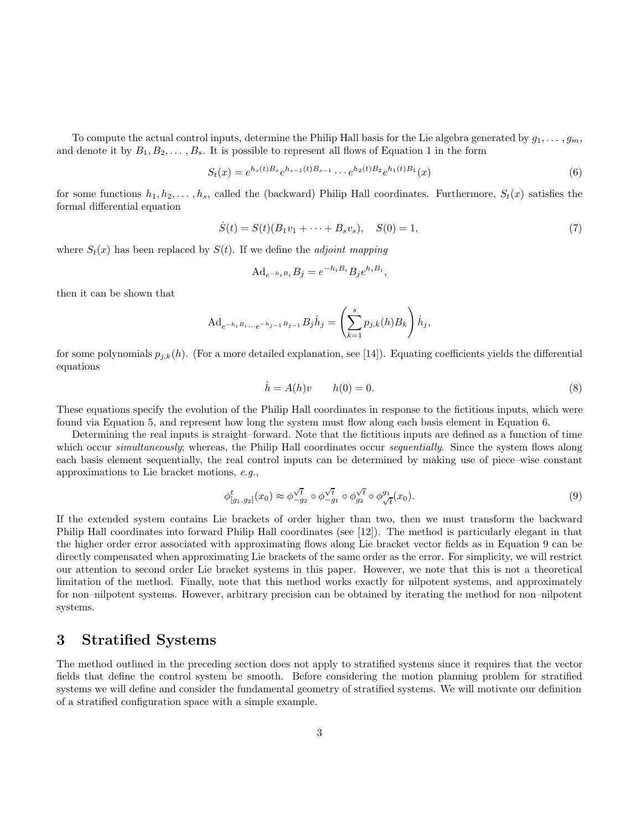To compute the actual control inputs, determine the Philip Hall basis for the Lie algebra generated by  $g_1, \ldots, g_m$ , and denote it by  $B_1, B_2, \ldots, B_s$ . It is possible to represent all flows of Equation 1 in the form

$$
S_t(x) = e^{h_s(t)B_s}e^{h_{s-1}(t)B_{s-1}}\cdots e^{h_2(t)B_2}e^{h_1(t)B_1}(x)
$$
\n
$$
(6)
$$

for some functions  $h_1, h_2, \ldots, h_s$ , called the (backward) Philip Hall coordinates. Furthermore,  $S_t(x)$  satisfies the formal differential equation

$$
\dot{S}(t) = S(t)(B_1v_1 + \dots + B_sv_s), \quad S(0) = 1,
$$
\n(7)

where  $S_t(x)$  has been replaced by  $S(t)$ . If we define the *adjoint mapping* 

$$
\mathrm{Ad}_{e^{-h_i B_i}} B_j = e^{-h_i B_i} B_j e^{h_i B_i},
$$

then it can be shown that

$$
{\rm Ad}_{e^{-h_i B_i...e^{-h_{j-1} B_j-1}}} B_j \dot h_j = \left(\sum_{k=1}^s p_{j,k}(h) B_k\right) \dot h_j,
$$

for some polynomials  $p_{j,k}(h)$ . (For a more detailed explanation, see [14]). Equating coefficients yields the differential equations

$$
\dot{h} = A(h)v \qquad h(0) = 0. \tag{8}
$$

These equations specify the evolution of the Philip Hall coordinates in response to the fictitious inputs, which were found via Equation 5, and represent how long the system must flow along each basis element in Equation 6.

Determining the real inputs is straight–forward. Note that the fictitious inputs are defined as a function of time which occur *simultaneously*; whereas, the Philip Hall coordinates occur *sequentially*. Since the system flows along each basis element sequentially, the real control inputs can be determined by making use of piece–wise constant approximations to Lie bracket motions, e.g.,

$$
\phi_{[g_1, g_2]}^t(x_0) \approx \phi_{-g_2}^{\sqrt{t}} \circ \phi_{-g_1}^{\sqrt{t}} \circ \phi_{g_2}^{\sqrt{t}} \circ \phi_{\sqrt{t}}^{g_1}(x_0).
$$
\n(9)

If the extended system contains Lie brackets of order higher than two, then we must transform the backward Philip Hall coordinates into forward Philip Hall coordinates (see [12]). The method is particularly elegant in that the higher order error associated with approximating flows along Lie bracket vector fields as in Equation 9 can be directly compensated when approximating Lie brackets of the same order as the error. For simplicity, we will restrict our attention to second order Lie bracket systems in this paper. However, we note that this is not a theoretical limitation of the method. Finally, note that this method works exactly for nilpotent systems, and approximately for non–nilpotent systems. However, arbitrary precision can be obtained by iterating the method for non–nilpotent systems.

### **3 Stratified Systems**

The method outlined in the preceding section does not apply to stratified systems since it requires that the vector fields that define the control system be smooth. Before considering the motion planning problem for stratified systems we will define and consider the fundamental geometry of stratified systems. We will motivate our definition of a stratified configuration space with a simple example.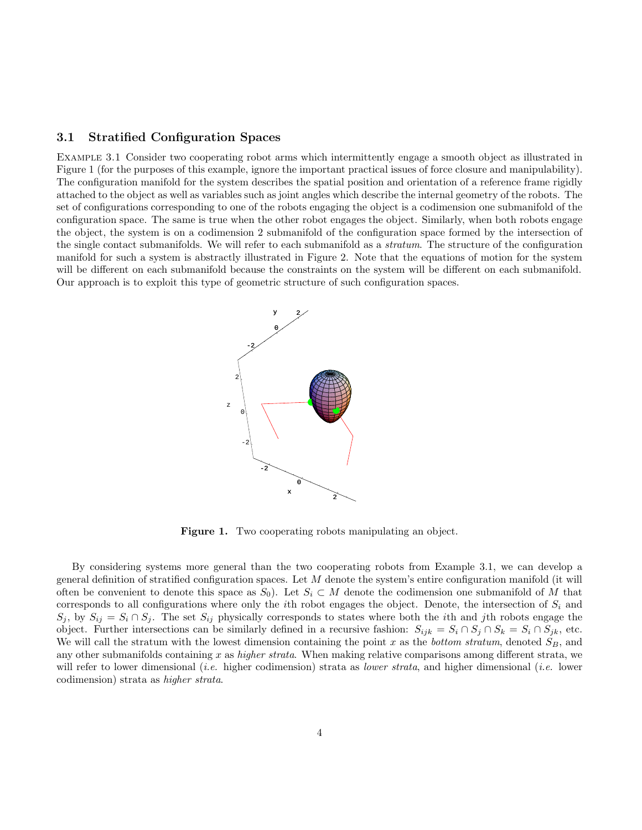#### **3.1 Stratified Configuration Spaces**

Example 3.1 Consider two cooperating robot arms which intermittently engage a smooth object as illustrated in Figure 1 (for the purposes of this example, ignore the important practical issues of force closure and manipulability). The configuration manifold for the system describes the spatial position and orientation of a reference frame rigidly attached to the object as well as variables such as joint angles which describe the internal geometry of the robots. The set of configurations corresponding to one of the robots engaging the object is a codimension one submanifold of the configuration space. The same is true when the other robot engages the object. Similarly, when both robots engage the object, the system is on a codimension 2 submanifold of the configuration space formed by the intersection of the single contact submanifolds. We will refer to each submanifold as a stratum. The structure of the configuration manifold for such a system is abstractly illustrated in Figure 2. Note that the equations of motion for the system will be different on each submanifold because the constraints on the system will be different on each submanifold. Our approach is to exploit this type of geometric structure of such configuration spaces.



Figure 1. Two cooperating robots manipulating an object.

By considering systems more general than the two cooperating robots from Example 3.1, we can develop a general definition of stratified configuration spaces. Let  $M$  denote the system's entire configuration manifold (it will often be convenient to denote this space as  $S_0$ . Let  $S_i \subset M$  denote the codimension one submanifold of M that corresponds to all configurations where only the *i*th robot engages the object. Denote, the intersection of  $S_i$  and  $S_j$ , by  $S_{ij} = S_i \cap S_j$ . The set  $S_{ij}$  physically corresponds to states where both the *i*th and *j*th robots engage the object. Further intersections can be similarly defined in a recursive fashion:  $S_{ijk} = S_i \cap S_j \cap S_k = S_i \cap S_{jk}$ , etc. We will call the stratum with the lowest dimension containing the point x as the bottom stratum, denoted  $S_B$ , and any other submanifolds containing x as *higher strata*. When making relative comparisons among different strata, we will refer to lower dimensional (*i.e.* higher codimension) strata as *lower strata*, and higher dimensional (*i.e.* lower codimension) strata as higher strata.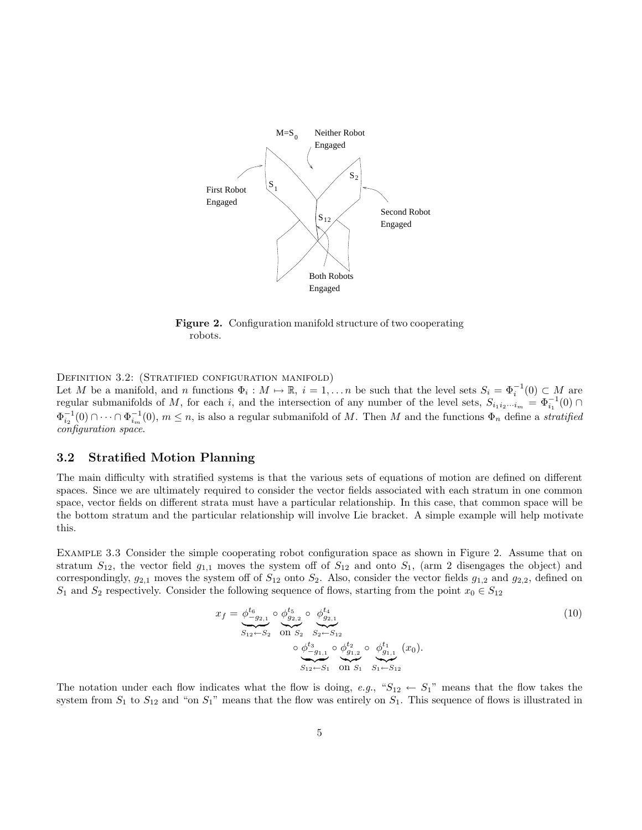

**Figure 2.** Configuration manifold structure of two cooperating robots.

DEFINITION 3.2: (STRATIFIED CONFIGURATION MANIFOLD)

Let M be a manifold, and n functions  $\Phi_i : M \mapsto \mathbb{R}$ ,  $i = 1, \ldots n$  be such that the level sets  $S_i = \Phi_i^{-1}(0) \subset M$  are regular submanifolds of M, for each i, and the intersection of any number of the level sets,  $S_{i_1 i_2 \cdots i_m} = \Phi_{i_1}^{-1}(0) \cap$  $\Phi_{i_2}^{-1}(0) \cap \cdots \cap \Phi_{i_m}^{-1}(0), m \leq n$ , is also a regular submanifold of M. Then M and the functions  $\Phi_n$  define a *stratified* configuration space.

#### **3.2 Stratified Motion Planning**

The main difficulty with stratified systems is that the various sets of equations of motion are defined on different spaces. Since we are ultimately required to consider the vector fields associated with each stratum in one common space, vector fields on different strata must have a particular relationship. In this case, that common space will be the bottom stratum and the particular relationship will involve Lie bracket. A simple example will help motivate this.

Example 3.3 Consider the simple cooperating robot configuration space as shown in Figure 2. Assume that on stratum  $S_{12}$ , the vector field  $g_{1,1}$  moves the system off of  $S_{12}$  and onto  $S_1$ , (arm 2 disengages the object) and correspondingly,  $g_{2,1}$  moves the system off of  $S_{12}$  onto  $S_2$ . Also, consider the vector fields  $g_{1,2}$  and  $g_{2,2}$ , defined on  $S_1$  and  $S_2$  respectively. Consider the following sequence of flows, starting from the point  $x_0 \in S_{12}$ 

$$
x_f = \underbrace{\phi_{-g_{2,1}}^{t_6}}_{S_{12} \leftarrow S_2} \circ \underbrace{\phi_{g_{2,2}}^{t_5}}_{S_1} \circ \underbrace{\phi_{g_{2,1}}^{t_4}}_{S_2 \leftarrow S_{12}}
$$
\n
$$
\circ \underbrace{\phi_{-g_{1,1}}^{t_3}}_{S_{12} \leftarrow S_1} \circ \underbrace{\phi_{g_{1,2}}^{t_2}}_{S_1 \leftarrow S_1} \circ \underbrace{\phi_{g_{1,1}}^{t_1}}_{S_1 \leftarrow S_{12}} (x_0).
$$
\n
$$
(10)
$$

The notation under each flow indicates what the flow is doing, e.g., " $S_{12} \leftarrow S_{1}$ " means that the flow takes the system from  $S_1$  to  $S_{12}$  and "on  $S_1$ " means that the flow was entirely on  $S_1$ . This sequence of flows is illustrated in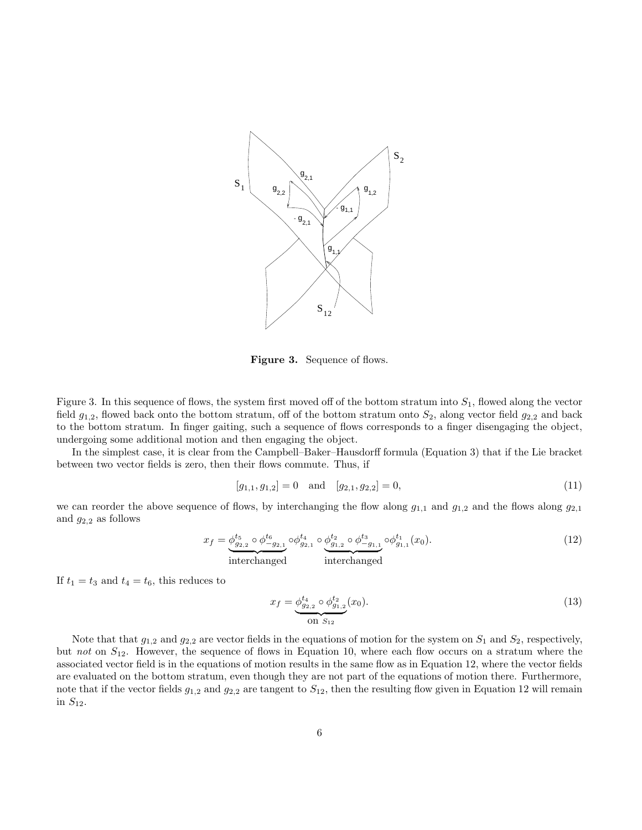

**Figure 3.** Sequence of flows.

Figure 3. In this sequence of flows, the system first moved off of the bottom stratum into  $S_1$ , flowed along the vector field  $g_{1,2}$ , flowed back onto the bottom stratum, off of the bottom stratum onto  $S_2$ , along vector field  $g_{2,2}$  and back to the bottom stratum. In finger gaiting, such a sequence of flows corresponds to a finger disengaging the object, undergoing some additional motion and then engaging the object.

In the simplest case, it is clear from the Campbell–Baker–Hausdorff formula (Equation 3) that if the Lie bracket between two vector fields is zero, then their flows commute. Thus, if

$$
[g_{1,1}, g_{1,2}] = 0 \quad \text{and} \quad [g_{2,1}, g_{2,2}] = 0,\tag{11}
$$

we can reorder the above sequence of flows, by interchanging the flow along  $g_{1,1}$  and  $g_{1,2}$  and the flows along  $g_{2,1}$ and  $g_{2,2}$  as follows

$$
x_f = \underbrace{\phi_{g_{2,2}}^{t_5} \circ \phi_{-g_{2,1}}^{t_6}}_{\text{interchanged}} \circ \underbrace{\phi_{g_{2,1}}^{t_4} \circ \phi_{g_{1,2}}^{t_2} \circ \phi_{-g_{1,1}}^{t_3}}_{\text{interchanged}} \circ \phi_{g_{1,1}}^{t_1}(x_0). \tag{12}
$$

If  $t_1 = t_3$  and  $t_4 = t_6$ , this reduces to

$$
x_f = \underbrace{\phi_{g_{2,2}}^{t_4} \circ \phi_{g_{1,2}}^{t_2}}_{\text{On } S_{12}}(x_0). \tag{13}
$$

Note that that  $g_{1,2}$  and  $g_{2,2}$  are vector fields in the equations of motion for the system on  $S_1$  and  $S_2$ , respectively, but not on  $S_{12}$ . However, the sequence of flows in Equation 10, where each flow occurs on a stratum where the associated vector field is in the equations of motion results in the same flow as in Equation 12, where the vector fields are evaluated on the bottom stratum, even though they are not part of the equations of motion there. Furthermore, note that if the vector fields  $g_{1,2}$  and  $g_{2,2}$  are tangent to  $S_{12}$ , then the resulting flow given in Equation 12 will remain in  $S_{12}$ .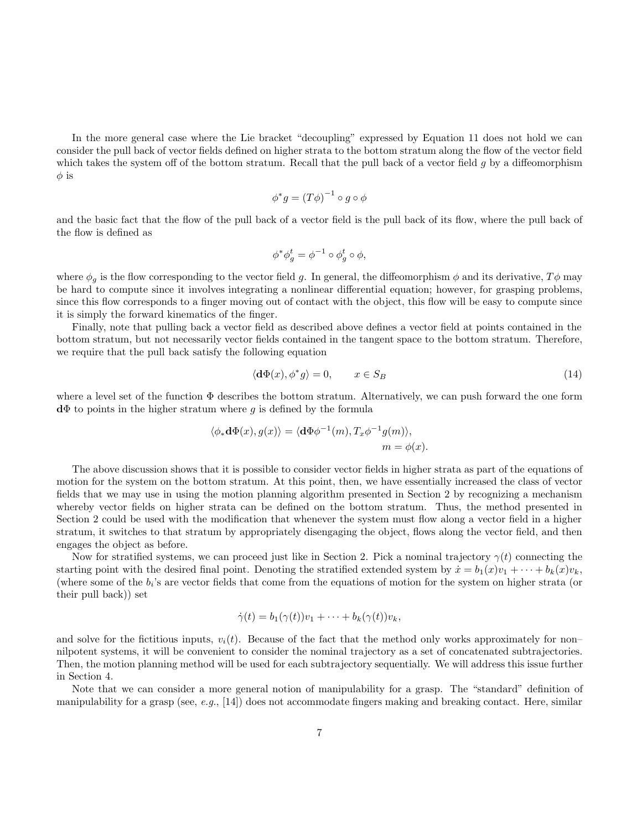In the more general case where the Lie bracket "decoupling" expressed by Equation 11 does not hold we can consider the pull back of vector fields defined on higher strata to the bottom stratum along the flow of the vector field which takes the system off of the bottom stratum. Recall that the pull back of a vector field g by a diffeomorphism  $\phi$  is

$$
\phi^* g = (T\phi)^{-1} \circ g \circ \phi
$$

and the basic fact that the flow of the pull back of a vector field is the pull back of its flow, where the pull back of the flow is defined as

$$
\phi^* \phi_g^t = \phi^{-1} \circ \phi_g^t \circ \phi,
$$

where  $\phi_q$  is the flow corresponding to the vector field g. In general, the diffeomorphism  $\phi$  and its derivative,  $T\phi$  may be hard to compute since it involves integrating a nonlinear differential equation; however, for grasping problems, since this flow corresponds to a finger moving out of contact with the object, this flow will be easy to compute since it is simply the forward kinematics of the finger.

Finally, note that pulling back a vector field as described above defines a vector field at points contained in the bottom stratum, but not necessarily vector fields contained in the tangent space to the bottom stratum. Therefore, we require that the pull back satisfy the following equation

$$
\langle \mathbf{d}\Phi(x), \phi^* g \rangle = 0, \qquad x \in S_B \tag{14}
$$

where a level set of the function Φ describes the bottom stratum. Alternatively, we can push forward the one form **d**Φ to points in the higher stratum where g is defined by the formula

$$
\langle \phi_* \mathbf{d}\Phi(x), g(x) \rangle = \langle \mathbf{d}\Phi \phi^{-1}(m), T_x \phi^{-1} g(m) \rangle,
$$
  
\n $m = \phi(x).$ 

The above discussion shows that it is possible to consider vector fields in higher strata as part of the equations of motion for the system on the bottom stratum. At this point, then, we have essentially increased the class of vector fields that we may use in using the motion planning algorithm presented in Section 2 by recognizing a mechanism whereby vector fields on higher strata can be defined on the bottom stratum. Thus, the method presented in Section 2 could be used with the modification that whenever the system must flow along a vector field in a higher stratum, it switches to that stratum by appropriately disengaging the object, flows along the vector field, and then engages the object as before.

Now for stratified systems, we can proceed just like in Section 2. Pick a nominal trajectory  $\gamma(t)$  connecting the starting point with the desired final point. Denoting the stratified extended system by  $\dot{x} = b_1(x)v_1 + \cdots + b_k(x)v_k$ , (where some of the  $b_i$ 's are vector fields that come from the equations of motion for the system on higher strata (or their pull back)) set

$$
\dot{\gamma}(t) = b_1(\gamma(t))v_1 + \cdots + b_k(\gamma(t))v_k,
$$

and solve for the fictitious inputs,  $v_i(t)$ . Because of the fact that the method only works approximately for non– nilpotent systems, it will be convenient to consider the nominal trajectory as a set of concatenated subtrajectories. Then, the motion planning method will be used for each subtrajectory sequentially. We will address this issue further in Section 4.

Note that we can consider a more general notion of manipulability for a grasp. The "standard" definition of manipulability for a grasp (see, e.g., [14]) does not accommodate fingers making and breaking contact. Here, similar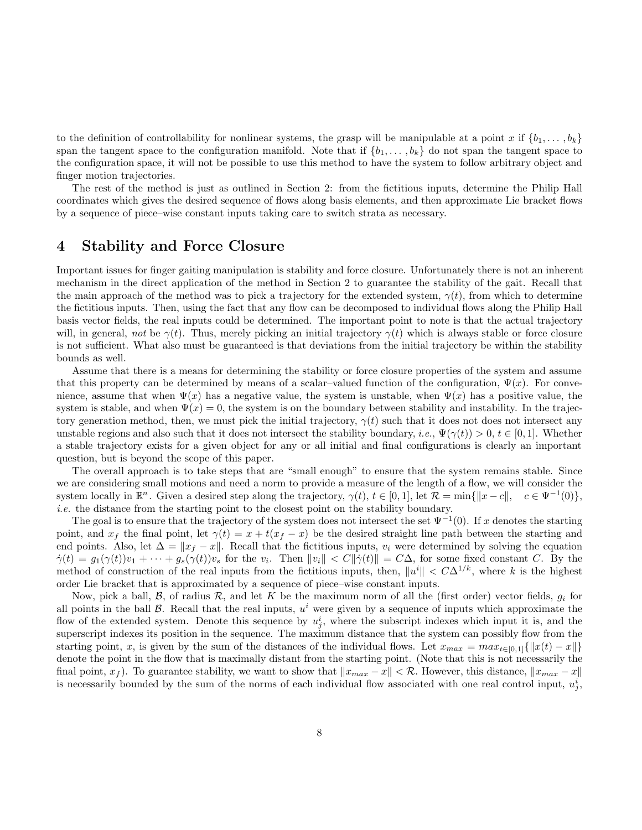to the definition of controllability for nonlinear systems, the grasp will be manipulable at a point x if  $\{b_1,\ldots,b_k\}$ span the tangent space to the configuration manifold. Note that if  $\{b_1,\ldots,b_k\}$  do not span the tangent space to the configuration space, it will not be possible to use this method to have the system to follow arbitrary object and finger motion trajectories.

The rest of the method is just as outlined in Section 2: from the fictitious inputs, determine the Philip Hall coordinates which gives the desired sequence of flows along basis elements, and then approximate Lie bracket flows by a sequence of piece–wise constant inputs taking care to switch strata as necessary.

### **4 Stability and Force Closure**

Important issues for finger gaiting manipulation is stability and force closure. Unfortunately there is not an inherent mechanism in the direct application of the method in Section 2 to guarantee the stability of the gait. Recall that the main approach of the method was to pick a trajectory for the extended system,  $\gamma(t)$ , from which to determine the fictitious inputs. Then, using the fact that any flow can be decomposed to individual flows along the Philip Hall basis vector fields, the real inputs could be determined. The important point to note is that the actual trajectory will, in general, not be  $\gamma(t)$ . Thus, merely picking an initial trajectory  $\gamma(t)$  which is always stable or force closure is not sufficient. What also must be guaranteed is that deviations from the initial trajectory be within the stability bounds as well.

Assume that there is a means for determining the stability or force closure properties of the system and assume that this property can be determined by means of a scalar–valued function of the configuration,  $\Psi(x)$ . For convenience, assume that when  $\Psi(x)$  has a negative value, the system is unstable, when  $\Psi(x)$  has a positive value, the system is stable, and when  $\Psi(x) = 0$ , the system is on the boundary between stability and instability. In the trajectory generation method, then, we must pick the initial trajectory,  $\gamma(t)$  such that it does not does not intersect any unstable regions and also such that it does not intersect the stability boundary, i.e.,  $\Psi(\gamma(t)) > 0, t \in [0,1]$ . Whether a stable trajectory exists for a given object for any or all initial and final configurations is clearly an important question, but is beyond the scope of this paper.

The overall approach is to take steps that are "small enough" to ensure that the system remains stable. Since we are considering small motions and need a norm to provide a measure of the length of a flow, we will consider the system locally in  $\mathbb{R}^n$ . Given a desired step along the trajectory,  $\gamma(t)$ ,  $t \in [0, 1]$ , let  $\mathcal{R} = \min\{\|x - c\|, c \in \Psi^{-1}(0)\}\$ , i.e. the distance from the starting point to the closest point on the stability boundary.

The goal is to ensure that the trajectory of the system does not intersect the set  $\Psi^{-1}(0)$ . If x denotes the starting point, and  $x_f$  the final point, let  $\gamma(t) = x + t(x_f - x)$  be the desired straight line path between the starting and end points. Also, let  $\Delta = ||x_f - x||$ . Recall that the fictitious inputs,  $v_i$  were determined by solving the equation  $\dot{\gamma}(t) = g_1(\gamma(t))v_1 + \cdots + g_s(\gamma(t))v_s$  for the  $v_i$ . Then  $||v_i|| < C||\dot{\gamma}(t)|| = C\Delta$ , for some fixed constant C. By the method of construction of the real inputs from the fictitious inputs, then,  $\|u^i\| < C\Delta^{1/k}$ , where k is the highest order Lie bracket that is approximated by a sequence of piece–wise constant inputs.

Now, pick a ball,  $\beta$ , of radius  $\mathcal{R}$ , and let K be the maximum norm of all the (first order) vector fields,  $g_i$  for all points in the ball  $\beta$ . Recall that the real inputs,  $u^i$  were given by a sequence of inputs which approximate the flow of the extended system. Denote this sequence by  $u_j^i$ , where the subscript indexes which input it is, and the superscript indexes its position in the sequence. The maximum distance that the system can possibly flow from the starting point, x, is given by the sum of the distances of the individual flows. Let  $x_{max} = max_{t\in[0,1]}{\|x(t) - x\|\}$ denote the point in the flow that is maximally distant from the starting point. (Note that this is not necessarily the final point,  $x_f$ ). To guarantee stability, we want to show that  $||x_{max} - x|| < \mathcal{R}$ . However, this distance,  $||x_{max} - x||$ is necessarily bounded by the sum of the norms of each individual flow associated with one real control input,  $u_j^i$ ,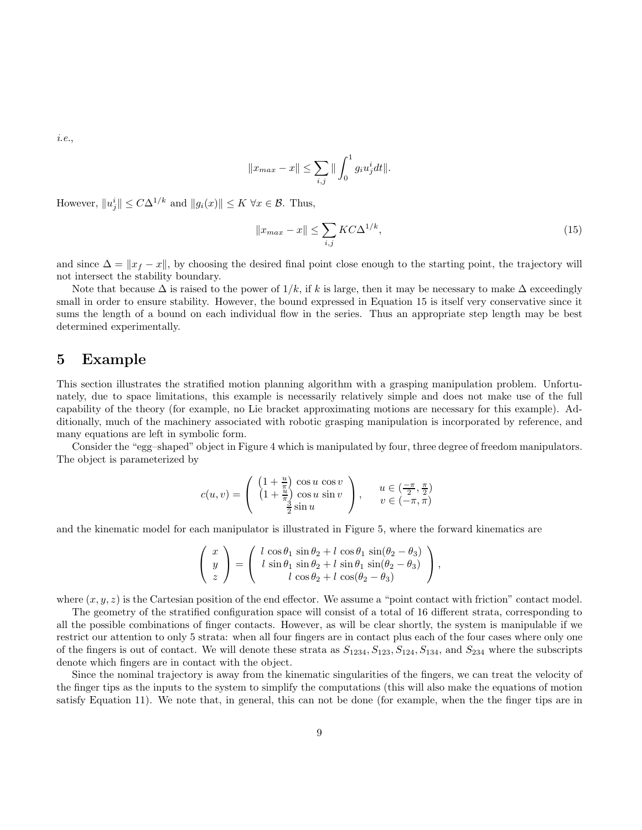i.e.,

$$
||x_{max} - x|| \le \sum_{i,j} ||\int_0^1 g_i u_j^i dt||.
$$

However,  $||u_j^i|| \leq C\Delta^{1/k}$  and  $||g_i(x)|| \leq K \,\forall x \in \mathcal{B}$ . Thus,

$$
||x_{max} - x|| \le \sum_{i,j} KC \Delta^{1/k},\tag{15}
$$

and since  $\Delta = ||x_f - x||$ , by choosing the desired final point close enough to the starting point, the trajectory will not intersect the stability boundary.

Note that because  $\Delta$  is raised to the power of  $1/k$ , if k is large, then it may be necessary to make  $\Delta$  exceedingly small in order to ensure stability. However, the bound expressed in Equation 15 is itself very conservative since it sums the length of a bound on each individual flow in the series. Thus an appropriate step length may be best determined experimentally.

### **5 Example**

This section illustrates the stratified motion planning algorithm with a grasping manipulation problem. Unfortunately, due to space limitations, this example is necessarily relatively simple and does not make use of the full capability of the theory (for example, no Lie bracket approximating motions are necessary for this example). Additionally, much of the machinery associated with robotic grasping manipulation is incorporated by reference, and many equations are left in symbolic form.

Consider the "egg–shaped" object in Figure 4 which is manipulated by four, three degree of freedom manipulators. The object is parameterized by

$$
c(u,v) = \left( \begin{array}{c} \left(1 + \frac{u}{\pi}\right) \cos u \, \cos v \\ \left(1 + \frac{u}{\pi}\right) \cos u \, \sin v \\ \frac{3}{2} \sin u \end{array} \right), \qquad u \in \left(\frac{-\pi}{2}, \frac{\pi}{2}\right) \\ v \in \left(-\pi, \pi\right)
$$

and the kinematic model for each manipulator is illustrated in Figure 5, where the forward kinematics are

$$
\begin{pmatrix} x \\ y \\ z \end{pmatrix} = \begin{pmatrix} l \cos \theta_1 \sin \theta_2 + l \cos \theta_1 \sin(\theta_2 - \theta_3) \\ l \sin \theta_1 \sin \theta_2 + l \sin \theta_1 \sin(\theta_2 - \theta_3) \\ l \cos \theta_2 + l \cos(\theta_2 - \theta_3) \end{pmatrix},
$$

where  $(x, y, z)$  is the Cartesian position of the end effector. We assume a "point contact with friction" contact model.

The geometry of the stratified configuration space will consist of a total of 16 different strata, corresponding to all the possible combinations of finger contacts. However, as will be clear shortly, the system is manipulable if we restrict our attention to only 5 strata: when all four fingers are in contact plus each of the four cases where only one of the fingers is out of contact. We will denote these strata as  $S_{1234},S_{123},S_{124},S_{134}$ , and  $S_{234}$  where the subscripts denote which fingers are in contact with the object.

Since the nominal trajectory is away from the kinematic singularities of the fingers, we can treat the velocity of the finger tips as the inputs to the system to simplify the computations (this will also make the equations of motion satisfy Equation 11). We note that, in general, this can not be done (for example, when the the finger tips are in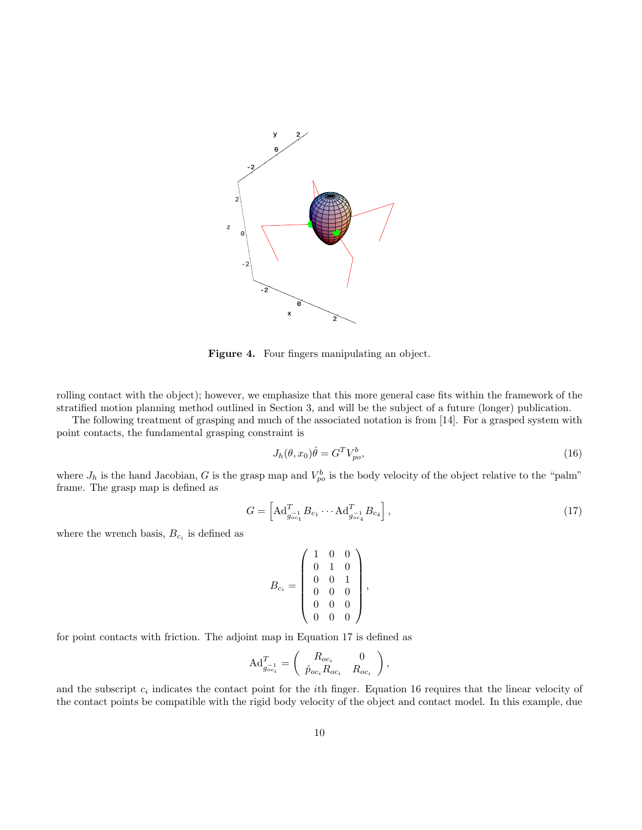

**Figure 4.** Four fingers manipulating an object.

rolling contact with the object); however, we emphasize that this more general case fits within the framework of the stratified motion planning method outlined in Section 3, and will be the subject of a future (longer) publication.

The following treatment of grasping and much of the associated notation is from [14]. For a grasped system with point contacts, the fundamental grasping constraint is

$$
J_h(\theta, x_0)\dot{\theta} = G^T V_{po}^b,\tag{16}
$$

where  $J_h$  is the hand Jacobian, G is the grasp map and  $V_{po}^b$  is the body velocity of the object relative to the "palm" frame. The grasp map is defined as

$$
G = \left[ \mathrm{Ad}_{g_{oc_1}}^T B_{c_1} \cdots \mathrm{Ad}_{g_{oc_4}}^T B_{c_4} \right],\tag{17}
$$

where the wrench basis,  $B_{c_i}$  is defined as

$$
B_{c_i} = \left(\begin{array}{rrr} 1 & 0 & 0 \\ 0 & 1 & 0 \\ 0 & 0 & 1 \\ 0 & 0 & 0 \\ 0 & 0 & 0 \\ 0 & 0 & 0 \end{array}\right),
$$

for point contacts with friction. The adjoint map in Equation 17 is defined as

$$
\mathrm{Ad}^T_{g_{oc_i}^{-1}} = \left( \begin{array}{cc} R_{oc_i} & 0 \\ \hat{p}_{oc_i} R_{oc_i} & R_{oc_i} \end{array} \right),
$$

and the subscript  $c_i$  indicates the contact point for the *i*th finger. Equation 16 requires that the linear velocity of the contact points be compatible with the rigid body velocity of the object and contact model. In this example, due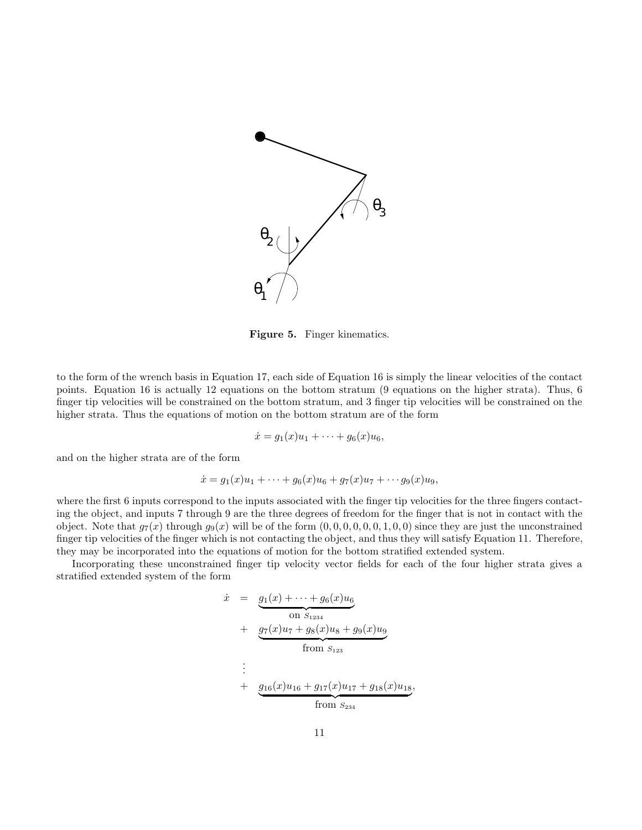

**Figure 5.** Finger kinematics.

to the form of the wrench basis in Equation 17, each side of Equation 16 is simply the linear velocities of the contact points. Equation 16 is actually 12 equations on the bottom stratum (9 equations on the higher strata). Thus, 6 finger tip velocities will be constrained on the bottom stratum, and 3 finger tip velocities will be constrained on the higher strata. Thus the equations of motion on the bottom stratum are of the form

$$
\dot{x} = g_1(x)u_1 + \dots + g_6(x)u_6,
$$

and on the higher strata are of the form

$$
\dot{x} = g_1(x)u_1 + \dots + g_6(x)u_6 + g_7(x)u_7 + \dots + g_9(x)u_9,
$$

where the first 6 inputs correspond to the inputs associated with the finger tip velocities for the three fingers contacting the object, and inputs 7 through 9 are the three degrees of freedom for the finger that is not in contact with the object. Note that  $g_7(x)$  through  $g_9(x)$  will be of the form  $(0, 0, 0, 0, 0, 0, 1, 0, 0)$  since they are just the unconstrained finger tip velocities of the finger which is not contacting the object, and thus they will satisfy Equation 11. Therefore, they may be incorporated into the equations of motion for the bottom stratified extended system.

Incorporating these unconstrained finger tip velocity vector fields for each of the four higher strata gives a stratified extended system of the form

$$
\dot{x} = g_1(x) + \dots + g_6(x)u_6
$$
\n
$$
\begin{array}{rcl}\n&\text{on } S_{1234} \\
&+& \underbrace{g_7(x)u_7 + g_8(x)u_8 + g_9(x)u_9} \\
&+& \underbrace{g_{16}(x)u_{16} + g_{17}(x)u_{17} + g_{18}(x)u_{18}} \\
&+& \underbrace{g_{16}(x)u_{16} + g_{17}(x)u_{17} + g_{18}(x)u_{18}} \\
&+& \text{from } S_{234}\n\end{array}
$$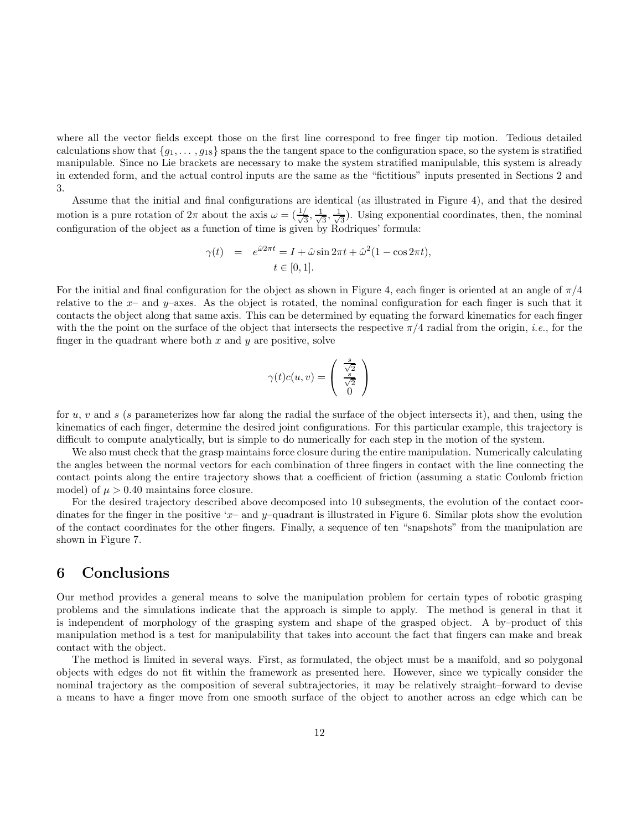where all the vector fields except those on the first line correspond to free finger tip motion. Tedious detailed calculations show that  ${g_1,\ldots,g_{18}}$  spans the the tangent space to the configuration space, so the system is stratified manipulable. Since no Lie brackets are necessary to make the system stratified manipulable, this system is already in extended form, and the actual control inputs are the same as the "fictitious" inputs presented in Sections 2 and 3.

Assume that the initial and final configurations are identical (as illustrated in Figure 4), and that the desired motion is a pure rotation of  $2\pi$  about the axis  $\omega = (\frac{1}{\sqrt{3}}, \frac{1}{\sqrt{3}}, \frac{1}{\sqrt{3}})$ . Using exponential coordinates, then, the nominal configuration of the object as a function of time is given by Rodriques' formula:

$$
\gamma(t) = e^{\hat{\omega}2\pi t} = I + \hat{\omega}\sin 2\pi t + \hat{\omega}^2 (1 - \cos 2\pi t),
$$
  

$$
t \in [0, 1].
$$

For the initial and final configuration for the object as shown in Figure 4, each finger is oriented at an angle of  $\pi/4$ relative to the  $x-$  and  $y-$ axes. As the object is rotated, the nominal configuration for each finger is such that it contacts the object along that same axis. This can be determined by equating the forward kinematics for each finger with the the point on the surface of the object that intersects the respective  $\pi/4$  radial from the origin, *i.e.*, for the finger in the quadrant where both  $x$  and  $y$  are positive, solve

$$
\gamma(t)c(u,v)=\left(\begin{array}{c}\frac{s}{\sqrt{2}}\\\frac{s}{\sqrt{2}}\\0\end{array}\right)
$$

for u, v and s (s parameterizes how far along the radial the surface of the object intersects it), and then, using the kinematics of each finger, determine the desired joint configurations. For this particular example, this trajectory is difficult to compute analytically, but is simple to do numerically for each step in the motion of the system.

We also must check that the grasp maintains force closure during the entire manipulation. Numerically calculating the angles between the normal vectors for each combination of three fingers in contact with the line connecting the contact points along the entire trajectory shows that a coefficient of friction (assuming a static Coulomb friction model) of  $\mu > 0.40$  maintains force closure.

For the desired trajectory described above decomposed into 10 subsegments, the evolution of the contact coordinates for the finger in the positive 'x– and y–quadrant is illustrated in Figure 6. Similar plots show the evolution of the contact coordinates for the other fingers. Finally, a sequence of ten "snapshots" from the manipulation are shown in Figure 7.

### **6 Conclusions**

Our method provides a general means to solve the manipulation problem for certain types of robotic grasping problems and the simulations indicate that the approach is simple to apply. The method is general in that it is independent of morphology of the grasping system and shape of the grasped object. A by–product of this manipulation method is a test for manipulability that takes into account the fact that fingers can make and break contact with the object.

The method is limited in several ways. First, as formulated, the object must be a manifold, and so polygonal objects with edges do not fit within the framework as presented here. However, since we typically consider the nominal trajectory as the composition of several subtrajectories, it may be relatively straight–forward to devise a means to have a finger move from one smooth surface of the object to another across an edge which can be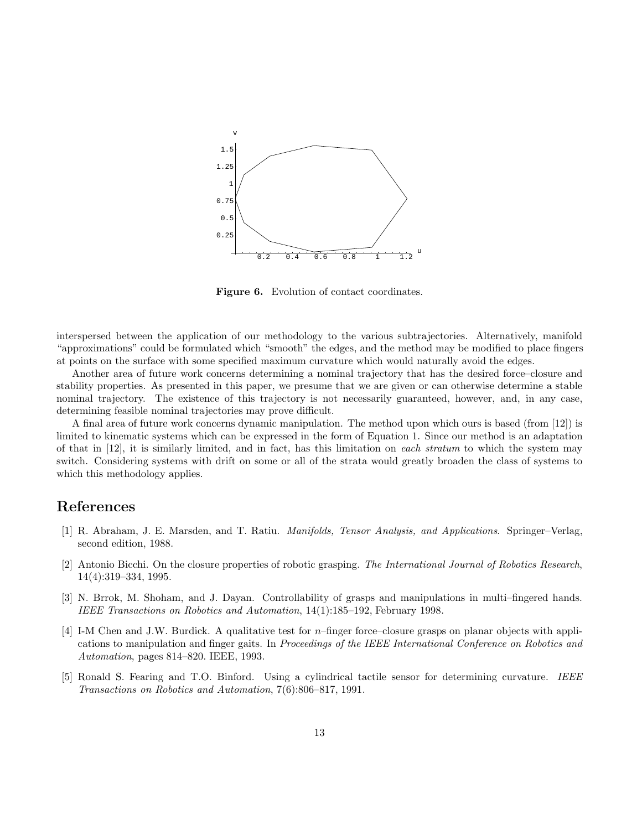

**Figure 6.** Evolution of contact coordinates.

interspersed between the application of our methodology to the various subtrajectories. Alternatively, manifold "approximations" could be formulated which "smooth" the edges, and the method may be modified to place fingers at points on the surface with some specified maximum curvature which would naturally avoid the edges.

Another area of future work concerns determining a nominal trajectory that has the desired force–closure and stability properties. As presented in this paper, we presume that we are given or can otherwise determine a stable nominal trajectory. The existence of this trajectory is not necessarily guaranteed, however, and, in any case, determining feasible nominal trajectories may prove difficult.

A final area of future work concerns dynamic manipulation. The method upon which ours is based (from [12]) is limited to kinematic systems which can be expressed in the form of Equation 1. Since our method is an adaptation of that in  $[12]$ , it is similarly limited, and in fact, has this limitation on *each stratum* to which the system may switch. Considering systems with drift on some or all of the strata would greatly broaden the class of systems to which this methodology applies.

## **References**

- [1] R. Abraham, J. E. Marsden, and T. Ratiu. Manifolds, Tensor Analysis, and Applications. Springer–Verlag, second edition, 1988.
- [2] Antonio Bicchi. On the closure properties of robotic grasping. The International Journal of Robotics Research, 14(4):319–334, 1995.
- [3] N. Brrok, M. Shoham, and J. Dayan. Controllability of grasps and manipulations in multi–fingered hands. IEEE Transactions on Robotics and Automation, 14(1):185–192, February 1998.
- [4] I-M Chen and J.W. Burdick. A qualitative test for n–finger force–closure grasps on planar objects with applications to manipulation and finger gaits. In Proceedings of the IEEE International Conference on Robotics and Automation, pages 814–820. IEEE, 1993.
- [5] Ronald S. Fearing and T.O. Binford. Using a cylindrical tactile sensor for determining curvature. IEEE Transactions on Robotics and Automation, 7(6):806–817, 1991.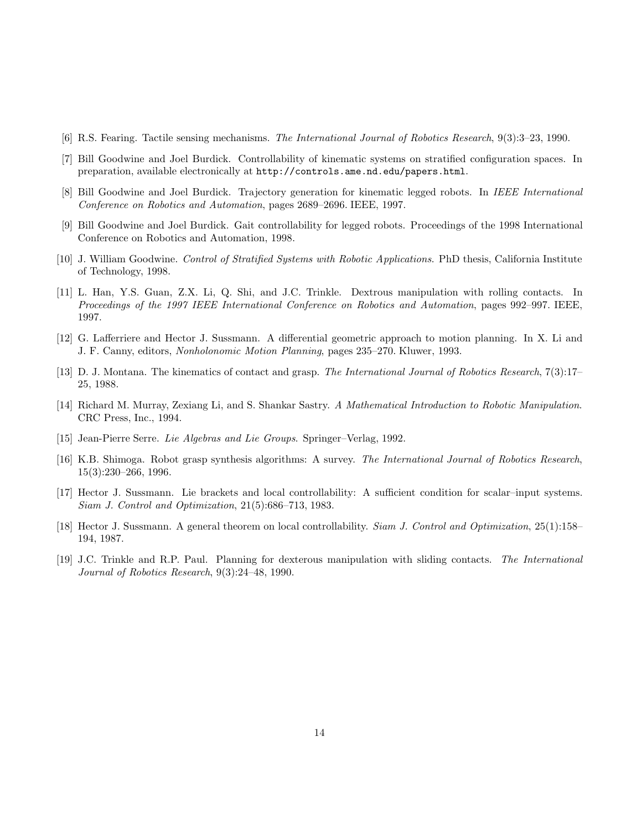- [6] R.S. Fearing. Tactile sensing mechanisms. The International Journal of Robotics Research, 9(3):3–23, 1990.
- [7] Bill Goodwine and Joel Burdick. Controllability of kinematic systems on stratified configuration spaces. In preparation, available electronically at http://controls.ame.nd.edu/papers.html.
- [8] Bill Goodwine and Joel Burdick. Trajectory generation for kinematic legged robots. In IEEE International Conference on Robotics and Automation, pages 2689–2696. IEEE, 1997.
- [9] Bill Goodwine and Joel Burdick. Gait controllability for legged robots. Proceedings of the 1998 International Conference on Robotics and Automation, 1998.
- [10] J. William Goodwine. Control of Stratified Systems with Robotic Applications. PhD thesis, California Institute of Technology, 1998.
- [11] L. Han, Y.S. Guan, Z.X. Li, Q. Shi, and J.C. Trinkle. Dextrous manipulation with rolling contacts. In Proceedings of the 1997 IEEE International Conference on Robotics and Automation, pages 992–997. IEEE, 1997.
- [12] G. Lafferriere and Hector J. Sussmann. A differential geometric approach to motion planning. In X. Li and J. F. Canny, editors, Nonholonomic Motion Planning, pages 235–270. Kluwer, 1993.
- [13] D. J. Montana. The kinematics of contact and grasp. The International Journal of Robotics Research, 7(3):17– 25, 1988.
- [14] Richard M. Murray, Zexiang Li, and S. Shankar Sastry. A Mathematical Introduction to Robotic Manipulation. CRC Press, Inc., 1994.
- [15] Jean-Pierre Serre. Lie Algebras and Lie Groups. Springer–Verlag, 1992.
- [16] K.B. Shimoga. Robot grasp synthesis algorithms: A survey. The International Journal of Robotics Research, 15(3):230–266, 1996.
- [17] Hector J. Sussmann. Lie brackets and local controllability: A sufficient condition for scalar–input systems. Siam J. Control and Optimization, 21(5):686–713, 1983.
- [18] Hector J. Sussmann. A general theorem on local controllability. Siam J. Control and Optimization, 25(1):158– 194, 1987.
- [19] J.C. Trinkle and R.P. Paul. Planning for dexterous manipulation with sliding contacts. The International Journal of Robotics Research, 9(3):24–48, 1990.